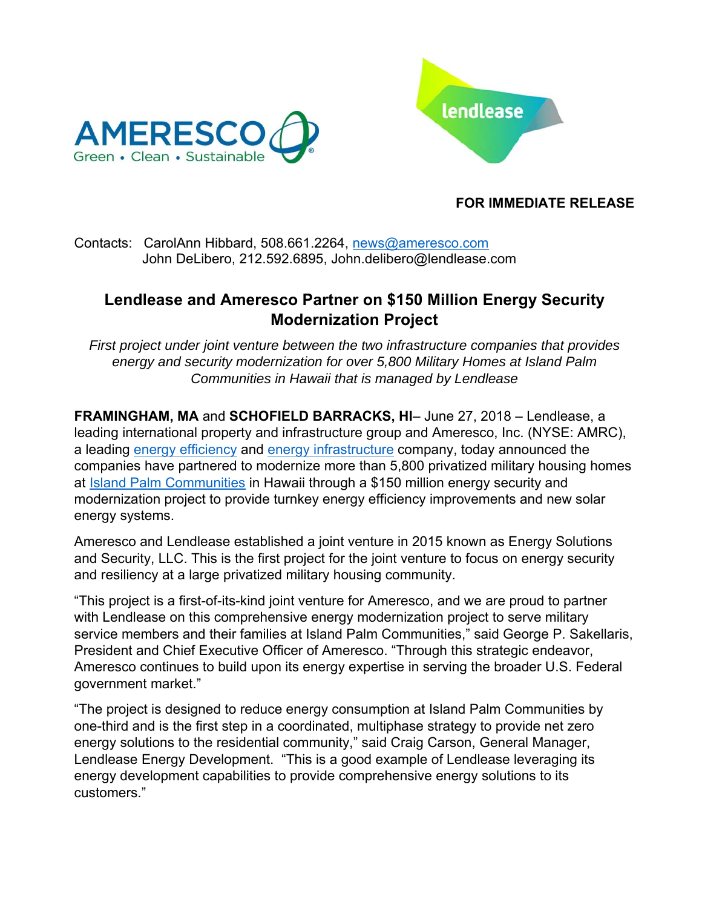



## **FOR IMMEDIATE RELEASE**

#### Contacts: CarolAnn Hibbard, 508.661.2264, news@ameresco.com John DeLibero, 212.592.6895, John.delibero@lendlease.com

# **Lendlease and Ameresco Partner on \$150 Million Energy Security Modernization Project**

*First project under joint venture between the two infrastructure companies that provides energy and security modernization for over 5,800 Military Homes at Island Palm Communities in Hawaii that is managed by Lendlease*

**FRAMINGHAM, MA** and **SCHOFIELD BARRACKS, HI**– June 27, 2018 – Lendlease, a leading international property and infrastructure group and Ameresco, Inc. (NYSE: AMRC), a leading energy efficiency and energy infrastructure company, today announced the companies have partnered to modernize more than 5,800 privatized military housing homes at Island Palm Communities in Hawaii through a \$150 million energy security and modernization project to provide turnkey energy efficiency improvements and new solar energy systems.

Ameresco and Lendlease established a joint venture in 2015 known as Energy Solutions and Security, LLC. This is the first project for the joint venture to focus on energy security and resiliency at a large privatized military housing community.

"This project is a first-of-its-kind joint venture for Ameresco, and we are proud to partner with Lendlease on this comprehensive energy modernization project to serve military service members and their families at Island Palm Communities," said George P. Sakellaris, President and Chief Executive Officer of Ameresco. "Through this strategic endeavor, Ameresco continues to build upon its energy expertise in serving the broader U.S. Federal government market."

"The project is designed to reduce energy consumption at Island Palm Communities by one-third and is the first step in a coordinated, multiphase strategy to provide net zero energy solutions to the residential community," said Craig Carson, General Manager, Lendlease Energy Development. "This is a good example of Lendlease leveraging its energy development capabilities to provide comprehensive energy solutions to its customers."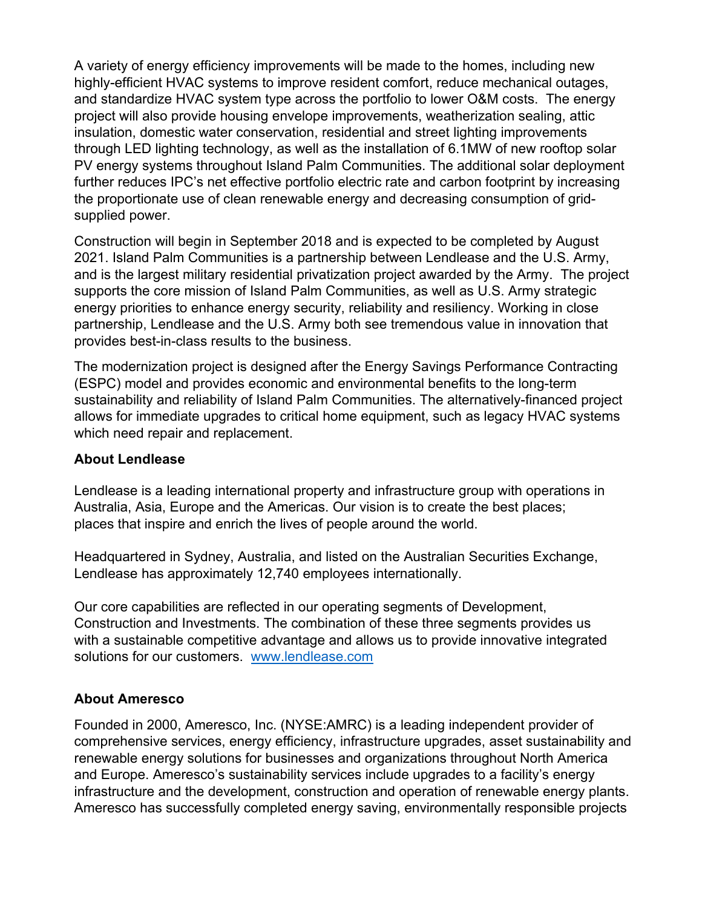A variety of energy efficiency improvements will be made to the homes, including new highly-efficient HVAC systems to improve resident comfort, reduce mechanical outages, and standardize HVAC system type across the portfolio to lower O&M costs. The energy project will also provide housing envelope improvements, weatherization sealing, attic insulation, domestic water conservation, residential and street lighting improvements through LED lighting technology, as well as the installation of 6.1MW of new rooftop solar PV energy systems throughout Island Palm Communities. The additional solar deployment further reduces IPC's net effective portfolio electric rate and carbon footprint by increasing the proportionate use of clean renewable energy and decreasing consumption of gridsupplied power.

Construction will begin in September 2018 and is expected to be completed by August 2021. Island Palm Communities is a partnership between Lendlease and the U.S. Army, and is the largest military residential privatization project awarded by the Army. The project supports the core mission of Island Palm Communities, as well as U.S. Army strategic energy priorities to enhance energy security, reliability and resiliency. Working in close partnership, Lendlease and the U.S. Army both see tremendous value in innovation that provides best-in-class results to the business.

The modernization project is designed after the Energy Savings Performance Contracting (ESPC) model and provides economic and environmental benefits to the long-term sustainability and reliability of Island Palm Communities. The alternatively-financed project allows for immediate upgrades to critical home equipment, such as legacy HVAC systems which need repair and replacement.

### **About Lendlease**

Lendlease is a leading international property and infrastructure group with operations in Australia, Asia, Europe and the Americas. Our vision is to create the best places; places that inspire and enrich the lives of people around the world.

Headquartered in Sydney, Australia, and listed on the Australian Securities Exchange, Lendlease has approximately 12,740 employees internationally.

Our core capabilities are reflected in our operating segments of Development, Construction and Investments. The combination of these three segments provides us with a sustainable competitive advantage and allows us to provide innovative integrated solutions for our customers. www.lendlease.com

## **About Ameresco**

Founded in 2000, Ameresco, Inc. (NYSE:AMRC) is a leading independent provider of comprehensive services, energy efficiency, infrastructure upgrades, asset sustainability and renewable energy solutions for businesses and organizations throughout North America and Europe. Ameresco's sustainability services include upgrades to a facility's energy infrastructure and the development, construction and operation of renewable energy plants. Ameresco has successfully completed energy saving, environmentally responsible projects